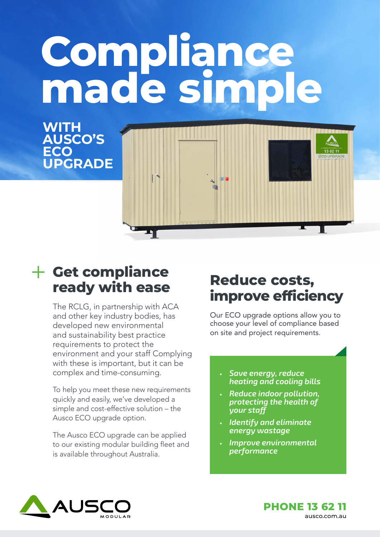# **Compliance made simple**

**WITH AUSCO'S ECO UPGRADE**

### **Get compliance ready with ease**

The RCLG, in partnership with ACA and other key industry bodies, has developed new environmental and sustainability best practice requirements to protect the environment and your staff Complying with these is important, but it can be complex and time-consuming.

۵Ŋ

To help you meet these new requirements quickly and easily, we've developed a simple and cost-effective solution – the Ausco ECO upgrade option.

The Ausco ECO upgrade can be applied to our existing modular building fleet and is available throughout Australia.

### **Reduce costs, improve efficiency**

Our ECO upgrade options allow you to choose your level of compliance based on site and project requirements.

- **•** *Save energy, reduce heating and cooling bills*
- **•** *Reduce indoor pollution, protecting the health of your staff*
- **•** *Identify and eliminate energy wastage*
- **•** *Improve environmental performance*



**PHONE 13 62 11**  ausco.com.au